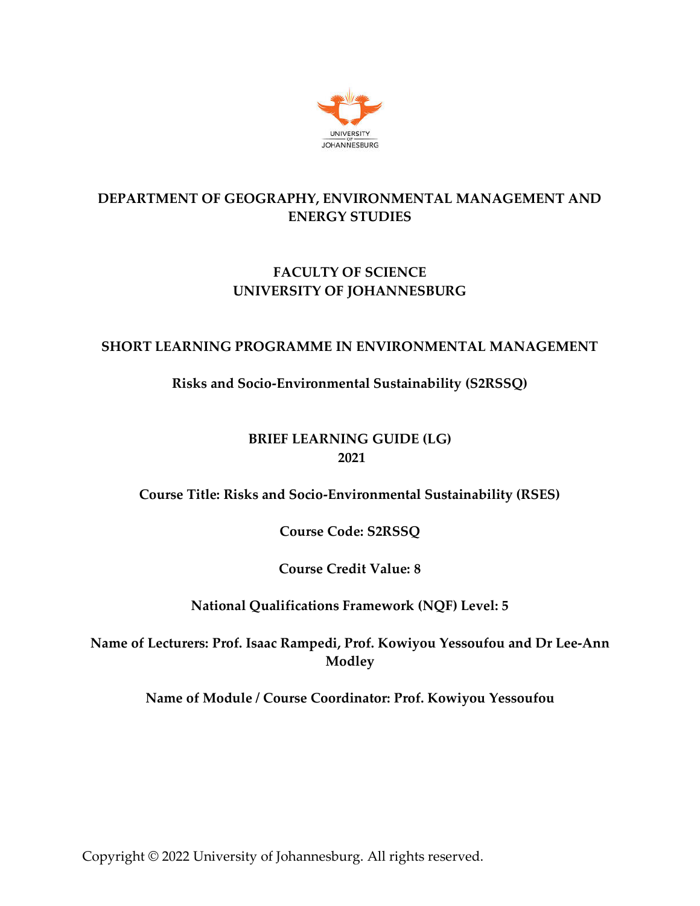

# **DEPARTMENT OF GEOGRAPHY, ENVIRONMENTAL MANAGEMENT AND ENERGY STUDIES**

# **FACULTY OF SCIENCE UNIVERSITY OF JOHANNESBURG**

## **SHORT LEARNING PROGRAMME IN ENVIRONMENTAL MANAGEMENT**

## **Risks and Socio-Environmental Sustainability (S2RSSQ)**

## **BRIEF LEARNING GUIDE (LG) 2021**

### **Course Title: Risks and Socio-Environmental Sustainability (RSES)**

**Course Code: S2RSSQ**

**Course Credit Value: 8**

### **National Qualifications Framework (NQF) Level: 5**

**Name of Lecturers: Prof. Isaac Rampedi, Prof. Kowiyou Yessoufou and Dr Lee-Ann Modley**

**Name of Module / Course Coordinator: Prof. Kowiyou Yessoufou**

Copyright © 2022 University of Johannesburg. All rights reserved.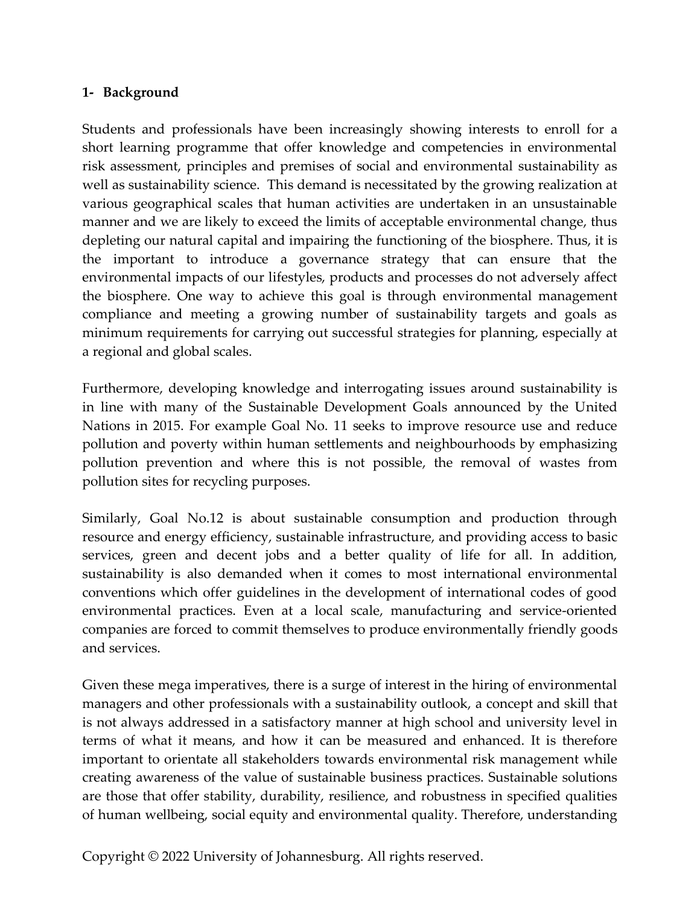### **1- Background**

Students and professionals have been increasingly showing interests to enroll for a short learning programme that offer knowledge and competencies in environmental risk assessment, principles and premises of social and environmental sustainability as well as sustainability science. This demand is necessitated by the growing realization at various geographical scales that human activities are undertaken in an unsustainable manner and we are likely to exceed the limits of acceptable environmental change, thus depleting our natural capital and impairing the functioning of the biosphere. Thus, it is the important to introduce a governance strategy that can ensure that the environmental impacts of our lifestyles, products and processes do not adversely affect the biosphere. One way to achieve this goal is through environmental management compliance and meeting a growing number of sustainability targets and goals as minimum requirements for carrying out successful strategies for planning, especially at a regional and global scales.

Furthermore, developing knowledge and interrogating issues around sustainability is in line with many of the Sustainable Development Goals announced by the United Nations in 2015. For example Goal No. 11 seeks to improve resource use and reduce pollution and poverty within human settlements and neighbourhoods by emphasizing pollution prevention and where this is not possible, the removal of wastes from pollution sites for recycling purposes.

Similarly, Goal No.12 is about sustainable consumption and production through resource and energy efficiency, sustainable infrastructure, and providing access to basic services, green and decent jobs and a better quality of life for all. In addition, sustainability is also demanded when it comes to most international environmental conventions which offer guidelines in the development of international codes of good environmental practices. Even at a local scale, manufacturing and service-oriented companies are forced to commit themselves to produce environmentally friendly goods and services.

Given these mega imperatives, there is a surge of interest in the hiring of environmental managers and other professionals with a sustainability outlook, a concept and skill that is not always addressed in a satisfactory manner at high school and university level in terms of what it means, and how it can be measured and enhanced. It is therefore important to orientate all stakeholders towards environmental risk management while creating awareness of the value of sustainable business practices. Sustainable solutions are those that offer stability, durability, resilience, and robustness in specified qualities of human wellbeing, social equity and environmental quality. Therefore, understanding

Copyright © 2022 University of Johannesburg. All rights reserved.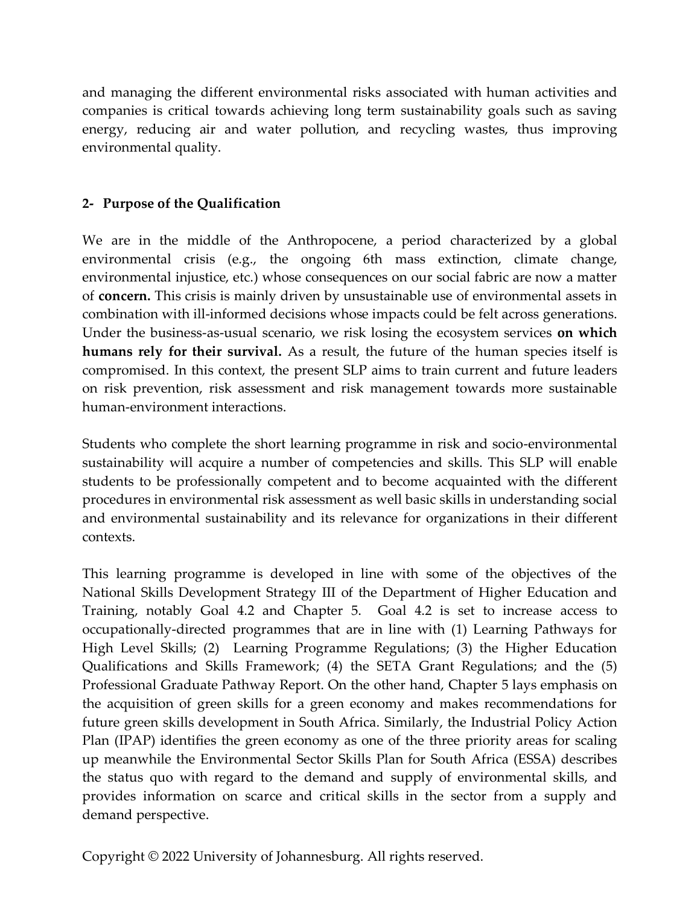and managing the different environmental risks associated with human activities and companies is critical towards achieving long term sustainability goals such as saving energy, reducing air and water pollution, and recycling wastes, thus improving environmental quality.

### **2- Purpose of the Qualification**

We are in the middle of the Anthropocene, a period characterized by a global environmental crisis (e.g., the ongoing 6th mass extinction, climate change, environmental injustice, etc.) whose consequences on our social fabric are now a matter of **concern.** This crisis is mainly driven by unsustainable use of environmental assets in combination with ill-informed decisions whose impacts could be felt across generations. Under the business-as-usual scenario, we risk losing the ecosystem services **on which humans rely for their survival.** As a result, the future of the human species itself is compromised. In this context, the present SLP aims to train current and future leaders on risk prevention, risk assessment and risk management towards more sustainable human-environment interactions.

Students who complete the short learning programme in risk and socio-environmental sustainability will acquire a number of competencies and skills. This SLP will enable students to be professionally competent and to become acquainted with the different procedures in environmental risk assessment as well basic skills in understanding social and environmental sustainability and its relevance for organizations in their different contexts.

This learning programme is developed in line with some of the objectives of the National Skills Development Strategy III of the Department of Higher Education and Training, notably Goal 4.2 and Chapter 5. Goal 4.2 is set to increase access to occupationally‐directed programmes that are in line with (1) Learning Pathways for High Level Skills; (2) Learning Programme Regulations; (3) the Higher Education Qualifications and Skills Framework; (4) the SETA Grant Regulations; and the (5) Professional Graduate Pathway Report. On the other hand, Chapter 5 lays emphasis on the acquisition of green skills for a green economy and makes recommendations for future green skills development in South Africa. Similarly, the Industrial Policy Action Plan (IPAP) identifies the green economy as one of the three priority areas for scaling up meanwhile the Environmental Sector Skills Plan for South Africa (ESSA) describes the status quo with regard to the demand and supply of environmental skills, and provides information on scarce and critical skills in the sector from a supply and demand perspective.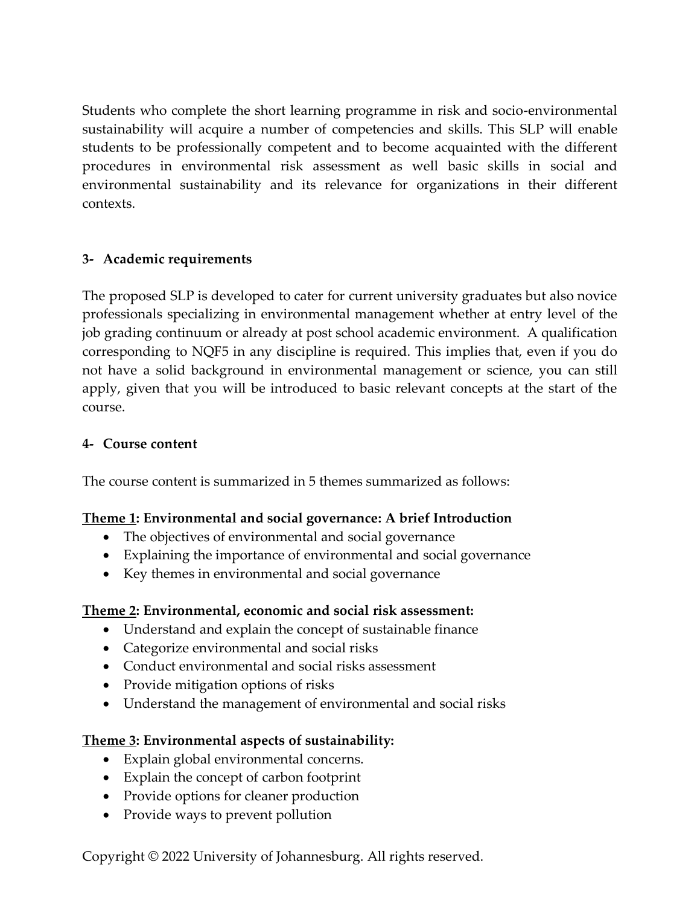Students who complete the short learning programme in risk and socio-environmental sustainability will acquire a number of competencies and skills. This SLP will enable students to be professionally competent and to become acquainted with the different procedures in environmental risk assessment as well basic skills in social and environmental sustainability and its relevance for organizations in their different contexts.

### **3- Academic requirements**

The proposed SLP is developed to cater for current university graduates but also novice professionals specializing in environmental management whether at entry level of the job grading continuum or already at post school academic environment. A qualification corresponding to NQF5 in any discipline is required. This implies that, even if you do not have a solid background in environmental management or science, you can still apply, given that you will be introduced to basic relevant concepts at the start of the course.

## **4- Course content**

The course content is summarized in 5 themes summarized as follows:

## **Theme 1: Environmental and social governance: A brief Introduction**

- The objectives of environmental and social governance
- Explaining the importance of environmental and social governance
- Key themes in environmental and social governance

### **Theme 2: Environmental, economic and social risk assessment:**

- Understand and explain the concept of sustainable finance
- Categorize environmental and social risks
- Conduct environmental and social risks assessment
- Provide mitigation options of risks
- Understand the management of environmental and social risks

### **Theme 3: Environmental aspects of sustainability:**

- Explain global environmental concerns.
- Explain the concept of carbon footprint
- Provide options for cleaner production
- Provide ways to prevent pollution

Copyright © 2022 University of Johannesburg. All rights reserved.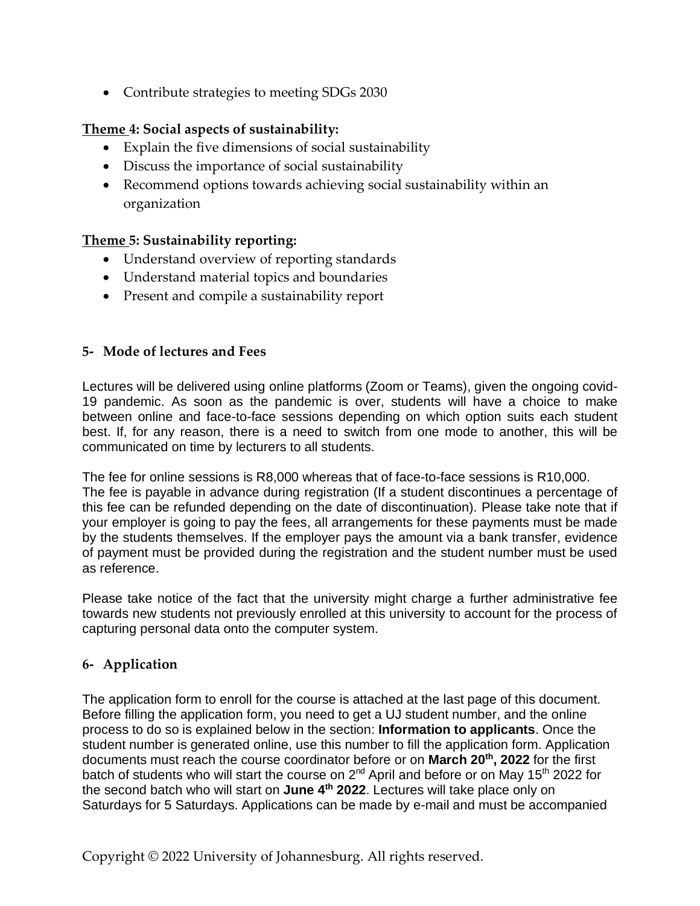• Contribute strategies to meeting SDGs 2030

#### **Theme 4: Social aspects of sustainability:**

- Explain the five dimensions of social sustainability
- Discuss the importance of social sustainability
- Recommend options towards achieving social sustainability within an organization

#### **Theme 5: Sustainability reporting:**

- Understand overview of reporting standards
- Understand material topics and boundaries
- Present and compile a sustainability report

#### **5- Mode of lectures and Fees**

Lectures will be delivered using online platforms (Zoom or Teams), given the ongoing covid-19 pandemic. As soon as the pandemic is over, students will have a choice to make between online and face-to-face sessions depending on which option suits each student best. If, for any reason, there is a need to switch from one mode to another, this will be communicated on time by lecturers to all students.

The fee for online sessions is R8,000 whereas that of face-to-face sessions is R10,000. The fee is payable in advance during registration (If a student discontinues a percentage of this fee can be refunded depending on the date of discontinuation). Please take note that if your employer is going to pay the fees, all arrangements for these payments must be made by the students themselves. If the employer pays the amount via a bank transfer, evidence of payment must be provided during the registration and the student number must be used as reference.

Please take notice of the fact that the university might charge a further administrative fee towards new students not previously enrolled at this university to account for the process of capturing personal data onto the computer system.

#### **6- Application**

The application form to enroll for the course is attached at the last page of this document. Before filling the application form, you need to get a UJ student number, and the online process to do so is explained below in the section: **Information to applicants**. Once the student number is generated online, use this number to fill the application form. Application documents must reach the course coordinator before or on **March 20th, 2022** for the first batch of students who will start the course on 2<sup>nd</sup> April and before or on May 15<sup>th</sup> 2022 for the second batch who will start on **June 4 th 2022**. Lectures will take place only on Saturdays for 5 Saturdays. Applications can be made by e-mail and must be accompanied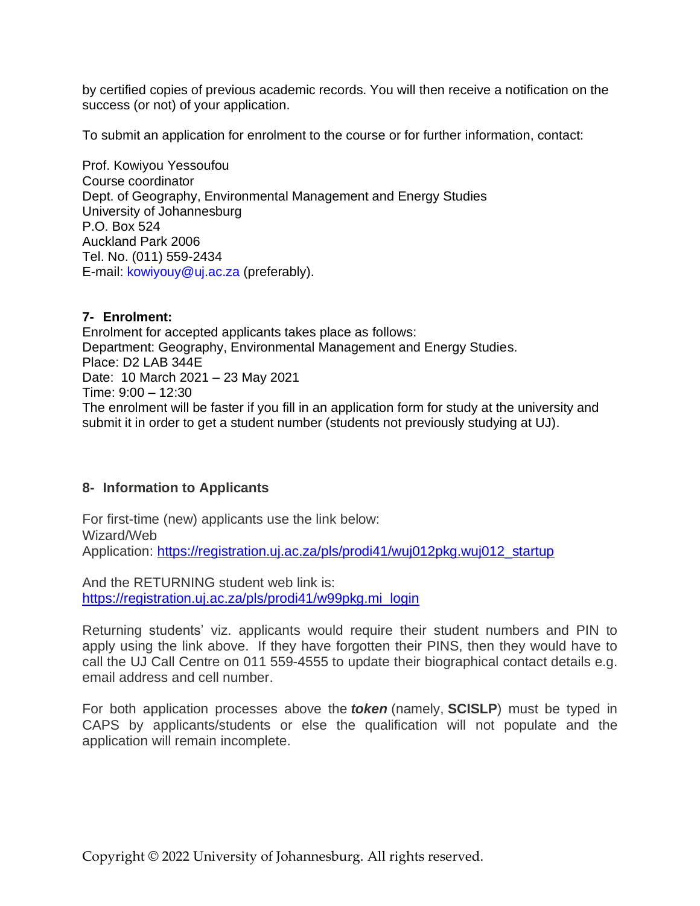by certified copies of previous academic records. You will then receive a notification on the success (or not) of your application.

To submit an application for enrolment to the course or for further information, contact:

Prof. Kowiyou Yessoufou Course coordinator Dept. of Geography, Environmental Management and Energy Studies University of Johannesburg P.O. Box 524 Auckland Park 2006 Tel. No. (011) 559-2434 E-mail: kowiyouy@uj.ac.za (preferably).

#### **7- Enrolment:**

Enrolment for accepted applicants takes place as follows: Department: Geography, Environmental Management and Energy Studies. Place: D2 LAB 344E Date: 10 March 2021 – 23 May 2021 Time: 9:00 – 12:30 The enrolment will be faster if you fill in an application form for study at the university and submit it in order to get a student number (students not previously studying at UJ).

#### **8- Information to Applicants**

For first-time (new) applicants use the link below: Wizard/Web Application: [https://registration.uj.ac.za/pls/prodi41/wuj012pkg.wuj012\\_startup](https://eur01.safelinks.protection.outlook.com/?url=https%3A%2F%2Fregistration.uj.ac.za%2Fpls%2Fprodi41%2Fwuj012pkg.wuj012_startup&data=04%7C01%7Ckowiyouy%40uj.ac.za%7C0a66cc9f29f04d6855e108d8c1cdfb69%7Cfa785acd36ef41bc8a9489841327e045%7C1%7C0%7C637472437748016354%7CUnknown%7CTWFpbGZsb3d8eyJWIjoiMC4wLjAwMDAiLCJQIjoiV2luMzIiLCJBTiI6Ik1haWwiLCJXVCI6Mn0%3D%7C1000&sdata=Gb0T6meuyH15fn2yjrow%2FU%2F2TtG8Zu9L2%2FeKDsf4tXI%3D&reserved=0)

And the RETURNING student web link is: [https://registration.uj.ac.za/pls/prodi41/w99pkg.mi\\_login](https://eur01.safelinks.protection.outlook.com/?url=https%3A%2F%2Fregistration.uj.ac.za%2Fpls%2Fprodi41%2Fw99pkg.mi_login&data=04%7C01%7Ckowiyouy%40uj.ac.za%7C0a66cc9f29f04d6855e108d8c1cdfb69%7Cfa785acd36ef41bc8a9489841327e045%7C1%7C0%7C637472437748016354%7CUnknown%7CTWFpbGZsb3d8eyJWIjoiMC4wLjAwMDAiLCJQIjoiV2luMzIiLCJBTiI6Ik1haWwiLCJXVCI6Mn0%3D%7C1000&sdata=WpVxOtwIPRVREusR8R1Qn7ob30uvjDXmDL6Wk0twwII%3D&reserved=0)

Returning students' viz. applicants would require their student numbers and PIN to apply using the link above. If they have forgotten their PINS, then they would have to call the UJ Call Centre on 011 559-4555 to update their biographical contact details e.g. email address and cell number.

For both application processes above the *token* (namely, **SCISLP**) must be typed in CAPS by applicants/students or else the qualification will not populate and the application will remain incomplete.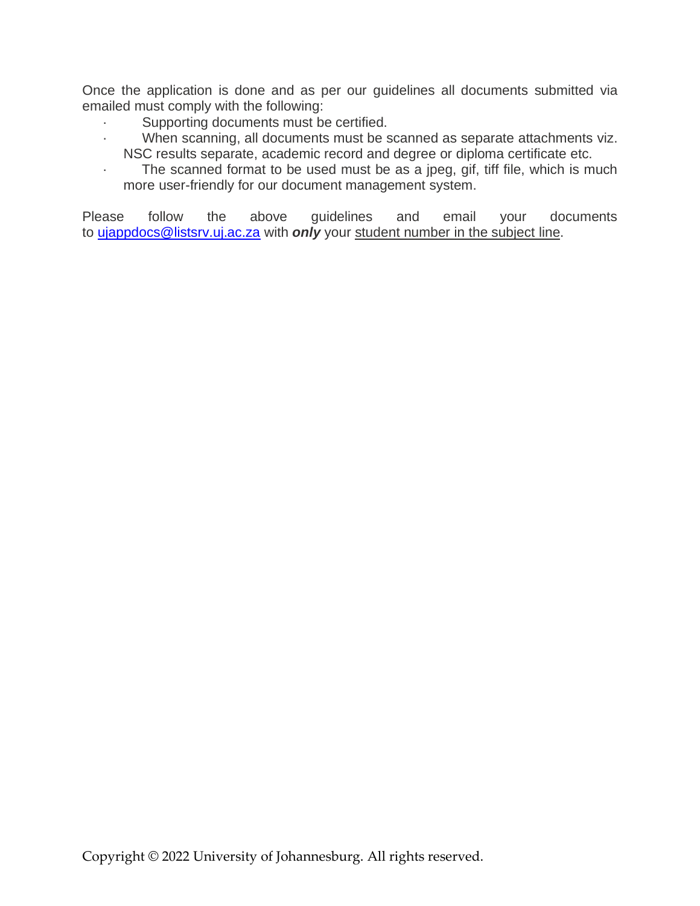Once the application is done and as per our guidelines all documents submitted via emailed must comply with the following:

- · Supporting documents must be certified.
- · When scanning, all documents must be scanned as separate attachments viz. NSC results separate, academic record and degree or diploma certificate etc.
- The scanned format to be used must be as a jpeg, gif, tiff file, which is much more user-friendly for our document management system.

Please follow the above guidelines and email your documents to *[ujappdocs@listsrv.uj.ac.za](mailto:ujappdocs@listsrv.uj.ac.za)* with *only* your student number in the subject line.